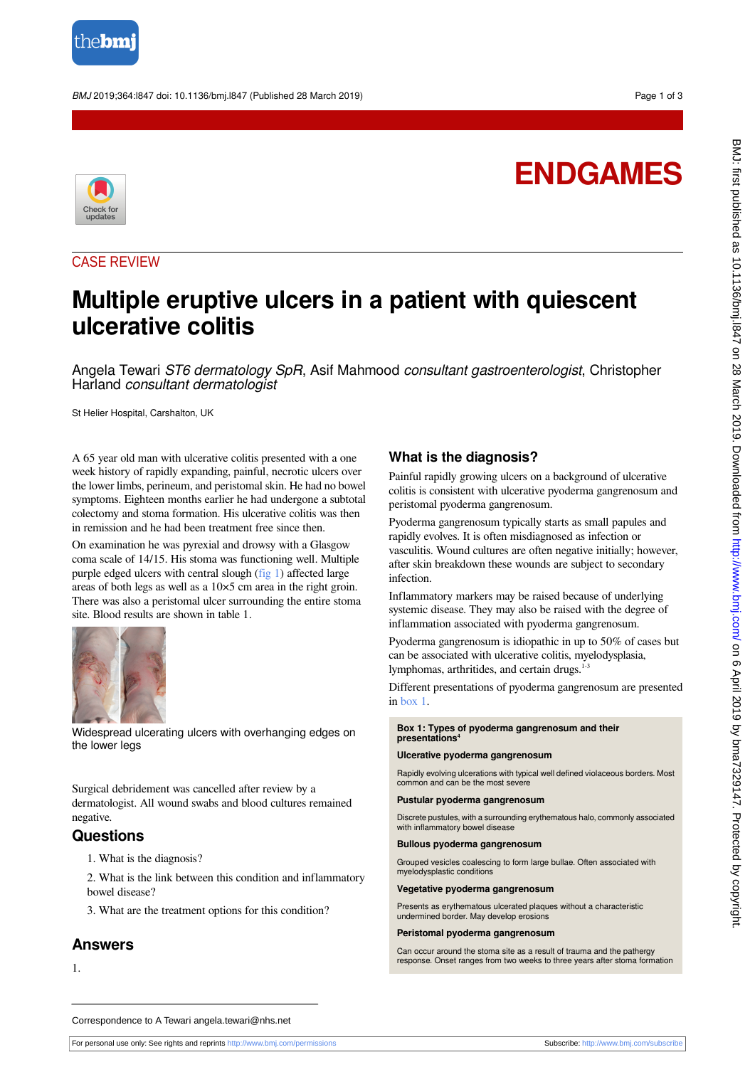

BMJ 2019;364:l847 doi: 10.1136/bmj.l847 (Published 28 March 2019) Page 1 of 3

# **ENDGAMES**



## CASE REVIEW

## **Multiple eruptive ulcers in a patient with quiescent ulcerative colitis**

Angela Tewari ST6 dermatology SpR, Asif Mahmood consultant gastroenterologist, Christopher Harland consultant dermatologist

St Helier Hospital, Carshalton, UK

A 65 year old man with ulcerative colitis presented with a one week history of rapidly expanding, painful, necrotic ulcers over the lower limbs, perineum, and peristomal skin. He had no bowel symptoms. Eighteen months earlier he had undergone a subtotal colectomy and stoma formation. His ulcerative colitis was then in remission and he had been treatment free since then.

<span id="page-0-0"></span>On examination he was pyrexial and drowsy with a Glasgow coma scale of 14/15. His stoma was functioning well. Multiple purple edged ulcers with central slough [\(fig 1\)](#page-0-0) affected large areas of both legs as well as a 10×5 cm area in the right groin. There was also a peristomal ulcer surrounding the entire stoma site. Blood results are shown in table 1.



Widespread ulcerating ulcers with overhanging edges on the lower legs

Surgical debridement was cancelled after review by a dermatologist. All wound swabs and blood cultures remained negative.

## **Questions**

1. What is the diagnosis?

- 2. What is the link between this condition and inflammatory bowel disease?
- 3. What are the treatment options for this condition?

### **Answers**

1.

## **What is the diagnosis?**

Painful rapidly growing ulcers on a background of ulcerative colitis is consistent with ulcerative pyoderma gangrenosum and peristomal pyoderma gangrenosum.

Pyoderma gangrenosum typically starts as small papules and rapidly evolves. It is often misdiagnosed as infection or vasculitis. Wound cultures are often negative initially; however, after skin breakdown these wounds are subject to secondary infection.

Inflammatory markers may be raised because of underlying systemic disease. They may also be raised with the degree of inflammation associated with pyoderma gangrenosum.

<span id="page-0-1"></span>Pyoderma gangrenosum is idiopathic in up to 50% of cases but can be associated with ulcerative colitis, myelodysplasia, lymphomas, arthritides, and certain drugs.<sup>1-3</sup>

Different presentations of pyoderma gangrenosum are presented in [box 1.](#page-0-1)

## **Box 1: Types of pyoderma gangrenosum and their presentations<sup>4</sup>**

#### **Ulcerative pyoderma gangrenosum**

Rapidly evolving ulcerations with typical well defined violaceous borders. Most common and can be the most severe

#### **Pustular pyoderma gangrenosum**

Discrete pustules, with a surrounding erythematous halo, commonly associated with inflammatory bowel disease

#### **Bullous pyoderma gangrenosum**

Grouped vesicles coalescing to form large bullae. Often associated with myelodysplastic conditions

#### **Vegetative pyoderma gangrenosum**

Presents as erythematous ulcerated plaques without a characteristic undermined border. May develop erosions

#### **Peristomal pyoderma gangrenosum**

Can occur around the stoma site as a result of trauma and the pathergy response. Onset ranges from two weeks to three years after stoma formation